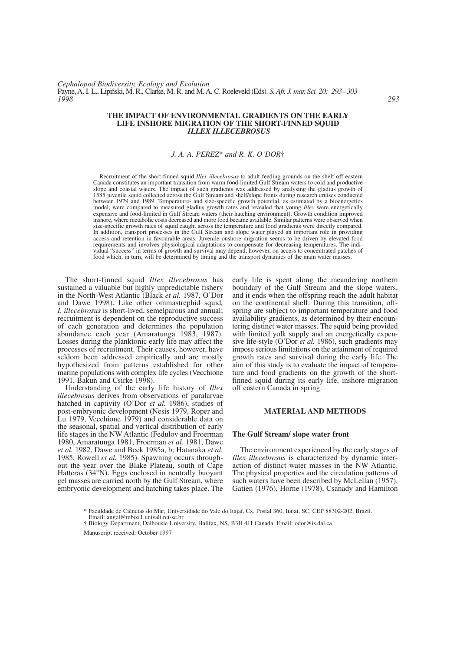### **THE IMPACT OF ENVIRONMENTAL GRADIENTS ON THE EARLY LIFE INSHORE MIGRATION OF THE SHORT-FINNED SQUID** *ILLEX ILLECEBROSUS*

# *J. A. A. PEREZ*\* *and R. K. O'DOR*†

Recruitment of the short-finned squid *Illex illecebrosus* to adult feeding grounds on the shelf off eastern Canada constitutes an important transition from warm food-limited Gulf Stream waters to cold and productive slope and coastal waters. The impact of such gradients was addressed by analysing the gladius growth of 1585 juvenile squid collected across the Gulf Stream and shelf/slope fronts during research cruises conducted between 1979 and 1989. Temperature- and size-specific growth potential, as estimated by a bioenergetics model, were compared to measured gladius growth rates and revealed that young *Illex* were energetically expensive and food-limited in Gulf Stream waters (their hatching environment). Growth condition improved inshore, where metabolic costs decreased and more food became available. Similar patterns were observed when size-specific growth rates of squid caught across the temperature and food gradients were directly compared. In addition, transport processes in the Gulf Stream and slope water played an important role in providing access and retention in favourable areas. Juvenile onshore migration seems to be driven by elevated food requirements and involves physiological adaptations to compensate for decreasing temperatures. The individual "success" in terms of growth and survival may depend, however, on access to concentrated patches of food which, in turn, will be determined by timing and the transport dynamics of the main water masses.

The short-finned squid *Illex illecebrosus* has sustained a valuable but highly unpredictable fishery in the North-West Atlantic (Black *et al.* 1987, O'Dor and Dawe 1998). Like other ommastrephid squid*, I. illecebrosus* is short-lived, semelparous and annual; recruitment is dependent on the reproductive success of each generation and determines the population abundance each year (Amaratunga 1983, 1987). Losses during the planktonic early life may affect the processes of recruitment. Their causes, however, have seldom been addressed empirically and are mostly hypothesized from patterns established for other marine populations with complex life cycles (Vecchione 1991, Bakun and Csirke 1998).

Understanding of the early life history of *Illex illecebrosus* derives from observations of paralarvae hatched in captivity (O'Dor *et al.* 1986), studies of post-embryonic development (Nesis 1979, Roper and Lu 1979, Vecchione 1979) and considerable data on the seasonal, spatial and vertical distribution of early life stages in the NW Atlantic (Fedulov and Froerman 1980, Amaratunga 1981, Froerman *et al.* 1981, Dawe *et al.* 1982, Dawe and Beck 1985a, b; Hatanaka *et al.* 1985, Rowell *et al.* 1985). Spawning occurs throughout the year over the Blake Plateau, south of Cape Hatteras (34°N). Eggs enclosed in neutrally buoyant gel masses are carried north by the Gulf Stream, where embryonic development and hatching takes place. The

early life is spent along the meandering northern boundary of the Gulf Stream and the slope waters, and it ends when the offspring reach the adult habitat on the continental shelf. During this transition, offspring are subject to important temperature and food availability gradients, as determined by their encountering distinct water masses. The squid being provided with limited yolk supply and an energetically expensive life-style (O'Dor *et al.* 1986), such gradients may impose serious limitations on the attainment of required growth rates and survival during the early life. The aim of this study is to evaluate the impact of temperature and food gradients on the growth of the shortfinned squid during its early life, inshore migration off eastern Canada in spring.

# **MATERIAL AND METHODS**

#### **The Gulf Stream/ slope water front**

The environment experienced by the early stages of *Illex illecebrosus* is characterized by dynamic interaction of distinct water masses in the NW Atlantic. The physical properties and the circulation patterns of such waters have been described by McLellan (1957), Gatien (1976), Horne (1978), Csanady and Hamilton

Manuscript received: October 1997

<sup>\*</sup> Faculdade de Ciências do Mar, Universidade do Vale do Itajaí, Cx. Postal 360, Itajaí, SC, CEP 88302-202, Brazil. Email: angel@mbox1.univali.rct-sc.br

<sup>†</sup> Biology Department, Dalhousie University, Halifax, NS, B3H 4J1 Canada. Email: odor@is.dal.ca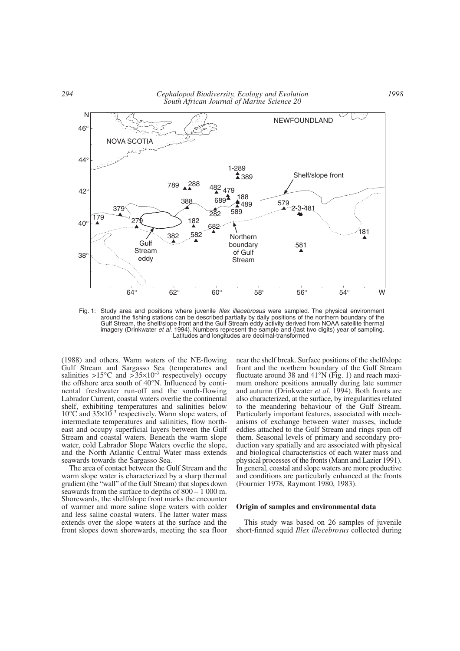*294 Cephalopod Biodiversity, Ecology and Evolution South African Journal of Marine Science 20*



Fig. 1: Study area and positions where juvenile *Illex illecebrosus* were sampled. The physical environment around the fishing stations can be described partially by daily positions of the northern boundary of the Gulf Stream, the shelf/slope front and the Gulf Stream eddy activity derived from NOAA satellite thermal imagery (Drinkwater *et al.* 1994). Numbers represent the sample and (last two digits) year of sampling. Latitudes and longitudes are decimal-transformed

(1988) and others. Warm waters of the NE-flowing Gulf Stream and Sargasso Sea (temperatures and salinities >15 $\degree$ C and >35 $\times$ 10<sup>-3</sup> respectively) occupy the offshore area south of 40°N. Influenced by continental freshwater run-off and the south-flowing Labrador Current, coastal waters overlie the continental shelf, exhibiting temperatures and salinities below  $10^{\circ}$ C and  $35\times10^{-3}$  respectively. Warm slope waters, of intermediate temperatures and salinities, flow northeast and occupy superficial layers between the Gulf Stream and coastal waters. Beneath the warm slope water, cold Labrador Slope Waters overlie the slope, and the North Atlantic Central Water mass extends seawards towards the Sargasso Sea.

The area of contact between the Gulf Stream and the warm slope water is characterized by a sharp thermal gradient (the "wall" of the Gulf Stream) that slopes down seawards from the surface to depths of 800 – 1 000 m. Shorewards, the shelf/slope front marks the encounter of warmer and more saline slope waters with colder and less saline coastal waters. The latter water mass extends over the slope waters at the surface and the front slopes down shorewards, meeting the sea floor near the shelf break. Surface positions of the shelf/slope front and the northern boundary of the Gulf Stream fluctuate around 38 and 41°N (Fig. 1) and reach maximum onshore positions annually during late summer and autumn (Drinkwater *et al.* 1994). Both fronts are also characterized, at the surface, by irregularities related to the meandering behaviour of the Gulf Stream. Particularly important features, associated with mechanisms of exchange between water masses, include eddies attached to the Gulf Stream and rings spun off them. Seasonal levels of primary and secondary production vary spatially and are associated with physical and biological characteristics of each water mass and physical processes of the fronts (Mann and Lazier 1991). In general, coastal and slope waters are more productive and conditions are particularly enhanced at the fronts (Fournier 1978, Raymont 1980, 1983).

### **Origin of samples and environmental data**

This study was based on 26 samples of juvenile short-finned squid *Illex illecebrosus* collected during

*1998*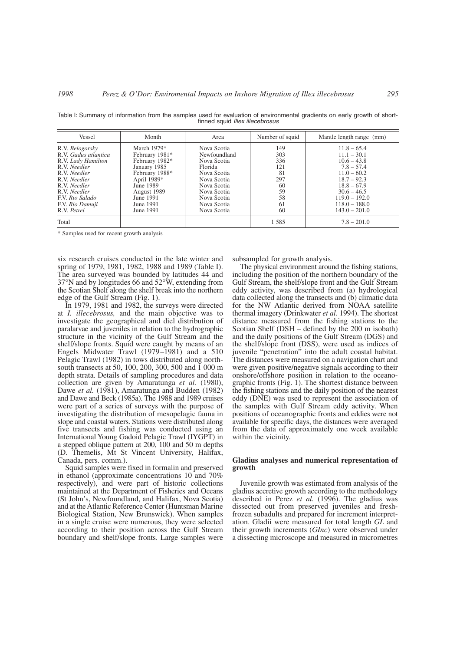| Vessel                                                                                                                                                                                             | Month                                                                                                                                                                 | Area                                                                                                                                                           | Number of squid                                                     | Mantle length range (mm)                                                                                                                                                                     |
|----------------------------------------------------------------------------------------------------------------------------------------------------------------------------------------------------|-----------------------------------------------------------------------------------------------------------------------------------------------------------------------|----------------------------------------------------------------------------------------------------------------------------------------------------------------|---------------------------------------------------------------------|----------------------------------------------------------------------------------------------------------------------------------------------------------------------------------------------|
| R.V. Belogorsky<br>R.V. Gadus atlantica<br>R.V. Lady Hamilton<br>R.V. Needler<br>R.V. Needler<br>R.V. Needler<br>R.V. Needler<br>R.V. Needler<br>F.V. Rio Salado<br>F.V. Rio Damuji<br>R.V. Petrel | March $1979*$<br>February 1981*<br>February 1982*<br>January 1985<br>February 1988*<br>April 1989*<br>June 1989<br>August 1989<br>June 1991<br>June 1991<br>June 1991 | Nova Scotia<br>Newfoundland<br>Nova Scotia<br>Florida<br>Nova Scotia<br>Nova Scotia<br>Nova Scotia<br>Nova Scotia<br>Nova Scotia<br>Nova Scotia<br>Nova Scotia | 149<br>303<br>336<br>121<br>81<br>297<br>60<br>59<br>58<br>61<br>60 | $11.8 - 65.4$<br>$11.1 - 30.1$<br>$10.6 - 43.8$<br>$7.8 - 57.4$<br>$11.0 - 60.2$<br>$18.7 - 92.3$<br>$18.8 - 67.9$<br>$30.6 - 46.5$<br>$119.0 - 192.0$<br>$118.0 - 188.0$<br>$143.0 - 201.0$ |
| Total                                                                                                                                                                                              |                                                                                                                                                                       |                                                                                                                                                                | 1585                                                                | $7.8 - 201.0$                                                                                                                                                                                |

Table I: Summary of information from the samples used for evaluation of environmental gradients on early growth of shortfinned squid *Illex illecebrosus*

\* Samples used for recent growth analysis

six research cruises conducted in the late winter and spring of 1979, 1981, 1982, 1988 and 1989 (Table I). The area surveyed was bounded by latitudes 44 and 37°N and by longitudes 66 and 52°W, extending from the Scotian Shelf along the shelf break into the northern edge of the Gulf Stream (Fig. 1).

In 1979, 1981 and 1982, the surveys were directed at *I. illecebrosus,* and the main objective was to investigate the geographical and diel distribution of paralarvae and juveniles in relation to the hydrographic structure in the vicinity of the Gulf Stream and the shelf/slope fronts. Squid were caught by means of an Engels Midwater Trawl (1979–1981) and a 510 Pelagic Trawl (1982) in tows distributed along northsouth transects at 50, 100, 200, 300, 500 and 1 000 m depth strata. Details of sampling procedures and data collection are given by Amaratunga *et al.* (1980), Dawe *et al.* (1981), Amaratunga and Budden (1982) and Dawe and Beck (1985a). The 1988 and 1989 cruises were part of a series of surveys with the purpose of investigating the distribution of mesopelagic fauna in slope and coastal waters. Stations were distributed along five transects and fishing was conducted using an International Young Gadoid Pelagic Trawl (IYGPT) in a stepped oblique pattern at 200, 100 and 50 m depths (D. Themelis, Mt St Vincent University, Halifax, Canada, pers. comm.).

Squid samples were fixed in formalin and preserved in ethanol (approximate concentrations 10 and 70% respectively), and were part of historic collections maintained at the Department of Fisheries and Oceans (St John's, Newfoundland, and Halifax, Nova Scotia) and at the Atlantic Reference Center (Huntsman Marine Biological Station, New Brunswick). When samples in a single cruise were numerous, they were selected according to their position across the Gulf Stream boundary and shelf/slope fronts. Large samples were

subsampled for growth analysis.

The physical environment around the fishing stations, including the position of the northern boundary of the Gulf Stream, the shelf/slope front and the Gulf Stream eddy activity, was described from (a) hydrological data collected along the transects and (b) climatic data for the NW Atlantic derived from NOAA satellite thermal imagery (Drinkwater *et al.* 1994). The shortest distance measured from the fishing stations to the Scotian Shelf (DSH – defined by the 200 m isobath) and the daily positions of the Gulf Stream (DGS) and the shelf/slope front (DSS), were used as indices of juvenile "penetration" into the adult coastal habitat. The distances were measured on a navigation chart and were given positive/negative signals according to their onshore/offshore position in relation to the oceanographic fronts (Fig. 1). The shortest distance between the fishing stations and the daily position of the nearest eddy (DNE) was used to represent the association of the samples with Gulf Stream eddy activity. When positions of oceanographic fronts and eddies were not available for specific days, the distances were averaged from the data of approximately one week available within the vicinity.

### **Gladius analyses and numerical representation of growth**

Juvenile growth was estimated from analysis of the gladius accretive growth according to the methodology described in Perez *et al.* (1996). The gladius was dissected out from preserved juveniles and freshfrozen subadults and prepared for increment interpretation. Gladii were measured for total length *GL* and their growth increments (*GInc*) were observed under a dissecting microscope and measured in micrometres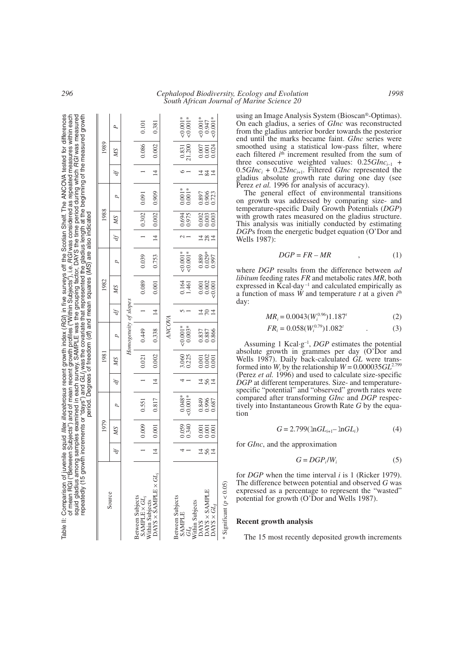| repeatedly (15 growth increments or "days") and GLI; was the covariate that represented the gladius length at the beginning of the measured growth                    |                |       |                |               |       |                         |                |                    | period. Degrees of freedom (df) and mean squares (MS) are also indicated |                |        |                         |                |                                               |            |
|-----------------------------------------------------------------------------------------------------------------------------------------------------------------------|----------------|-------|----------------|---------------|-------|-------------------------|----------------|--------------------|--------------------------------------------------------------------------|----------------|--------|-------------------------|----------------|-----------------------------------------------|------------|
|                                                                                                                                                                       |                | 1979  |                |               | 1981  |                         |                | 1982               |                                                                          |                | 1988   |                         |                | 1989                                          |            |
| Source                                                                                                                                                                | Ą              | NS    | p              | Ą             | МS    | $\overline{a}$          | ďf             | SW                 | $\overline{a}$                                                           | Ą              | NS     | $\overline{c}$          | Ą              | NS                                            | ρ          |
|                                                                                                                                                                       |                |       |                |               |       | Homogeneity of slopes   |                |                    |                                                                          |                |        |                         |                |                                               |            |
| Between Subjects<br>SAMPLE × <i>GL<sub>i</sub></i><br>Within Subjects<br>DAYS × SAMPLE × <i>GL<sub>i</sub></i>                                                        |                | 0.009 | 0.551          |               | 0.021 | 0.449                   |                | 0.089              | 0.039                                                                    |                | 0.302  | 0.091                   |                | 0.086                                         | 0.101      |
|                                                                                                                                                                       | $\overline{4}$ | 0.001 | 0.817          | $\frac{4}{3}$ | 0.002 | 0.338                   | $\overline{4}$ | 0.001              | 0.753                                                                    | $\frac{4}{3}$  | 10.002 | 0.909                   | $\overline{4}$ | 0.002                                         | 0.381      |
|                                                                                                                                                                       |                |       |                |               |       | ANCOVA                  |                |                    |                                                                          |                |        |                         |                |                                               |            |
| Between Subjects                                                                                                                                                      |                | 0.059 | $0.048*$       |               | 3.060 | $0.001*$                |                | 0.164<br>1.461     | $0.001*$                                                                 |                | 0.6941 | $0.001*$                |                | 0.831                                         | $< 0.001*$ |
| $\begin{array}{l} \text{SAMPLE} \\ GL_I \\ \text{Within subjects} \\ \text{DAYS} \\ \text{DAYS} \times \text{SAMPLE} \\ \text{DAYS} \times \text{SAMPLE} \end{array}$ |                | 0.340 | $0.001*$       |               |       | $0.003*$                |                |                    | $0.001*$                                                                 |                | 0.975  | $0.001*$                |                | 21.200                                        | $0.001*$   |
|                                                                                                                                                                       |                | 1.001 | 0.849<br>0.996 |               | 0.001 |                         | 4              | $0.001$<br>$0.002$ |                                                                          | $\overline{4}$ | 0.002  |                         |                | $\begin{array}{c} 0.007 \\ 0.001 \end{array}$ | $0.001*$   |
|                                                                                                                                                                       |                | 001   |                | 181           | 0.002 | 0.837<br>0.887<br>0.866 |                |                    | 0.889<br>0.029*<br>0.997                                                 | 28             | 0.003  | 0.897<br>0.905<br>0.723 | $\vec{z}$      |                                               | 0.947      |
|                                                                                                                                                                       |                | 001   | 0.687          |               | 0.001 |                         | 4              | : 0.001            |                                                                          | 4              | 0.003  |                         |                | 0.024                                         | $0.001*$   |
|                                                                                                                                                                       |                |       |                |               |       |                         |                |                    |                                                                          |                |        |                         |                |                                               |            |

using an Image Analysis System (Bioscan®-Optimas). On each gladius, a series of *GInc* was reconstructed from the gladius anterior border towards the posterior end until the marks became faint. *GInc* series were smoothed using a statistical low-pass filter, where each filtered *i*<sup>th</sup> increment resulted from the sum of three consecutive weighted values:  $0.25 G$ *Inc*<sub>i-1</sub> +  $0.5GInc_i + 0.25Inc_{i+1}$ . Filtered *GInc* represented the gladius absolute growth rate during one day (see Perez *et al.* 1996 for analysis of accuracy).

The general effect of environmental transitions on growth was addressed by comparing size- and temperature-specific Daily Growth Potentials (*DGP*) with growth rates measured on the gladius structure. This analysis was initially conducted by estimating *DGP*s from the energetic budget equation (O'Dor and Wells 1987):

$$
DGP = FR - MR \tag{1}
$$

where *DGP* results from the difference between *ad libitum* feeding rates *FR* and metabolic rates *MR*, both expressed in  $\bar{K}$ cal·day<sup>-1</sup> and calculated empirically as a function of mass *W* and temperature *t* at a given *i* th day:

$$
MR_i = 0.0043(W_i^{0.96})1.187^t
$$
 (2)

$$
FR_i = 0.058(W_i^{0.79})1.082^t \tag{3}
$$

Assuming 1 Kcal·g–1, *DGP* estimates the potential absolute growth in grammes per day (O'Dor and Wells 1987). Daily back-calculated *GL* were transformed into  $W_i$  by the relationship  $W = 0.000035 \, GL^{2.799}$ (Perez *et al.* 1996) and used to calculate size-specific *DGP* at different temperatures. Size- and temperaturespecific "potential" and "observed" growth rates were compared after transforming *GInc* and *DGP* respectively into Instantaneous Growth Rate *G* by the equation

$$
G = 2.799(\ln GL_{i+1} - \ln GL_i)
$$
 (4)

for *GInc*, and the approximation

$$
G = DGP_i/W_i \tag{5}
$$

for *DGP* when the time interval *i* is 1 (Ricker 1979). The difference between potential and observed *G* was expressed as a percentage to represent the "wasted" potential for growth (O'Dor and Wells 1987).

### **Recent growth analysis**

Significant ( $p < 0.05$ ) \* Significant (*p* < 0.05)

The 15 most recently deposited growth increments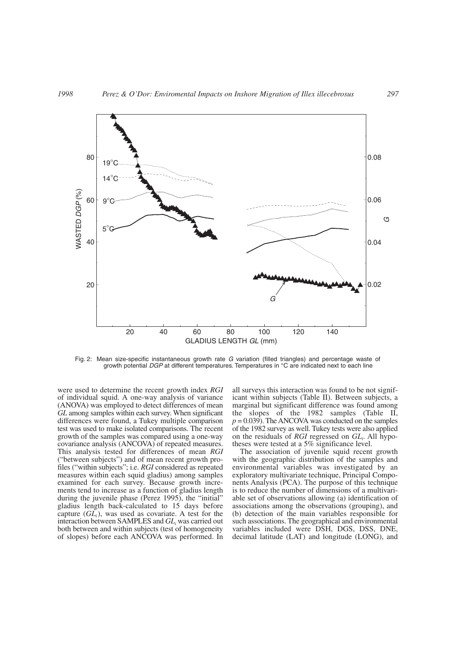

Fig. 2: Mean size-specific instantaneous growth rate *G* variation (filled triangles) and percentage waste of growth potential *DGP* at different temperatures. Temperatures in °C are indicated next to each line

were used to determine the recent growth index *RGI* of individual squid. A one-way analysis of variance (ANOVA) was employed to detect differences of mean *GL* among samples within each survey. When significant differences were found, a Tukey multiple comparison test was used to make isolated comparisons. The recent growth of the samples was compared using a one-way covariance analysis (ANCOVA) of repeated measures. This analysis tested for differences of mean *RGI* ("between subjects") and of mean recent growth profiles ("within subjects"; i.e. *RGI* considered as repeated measures within each squid gladius) among samples examined for each survey. Because growth increments tend to increase as a function of gladius length during the juvenile phase (Perez 1995), the "initial" gladius length back-calculated to 15 days before capture  $(GL_i)$ , was used as covariate. A test for the interaction between SAMPLES and *GL*<sub>*i*</sub> was carried out both between and within subjects (test of homogeneity of slopes) before each ANCOVA was performed. In

all surveys this interaction was found to be not significant within subjects (Table II). Between subjects, a marginal but significant difference was found among the slopes of the 1982 samples (Table II,  $p = 0.039$ . The ANCOVA was conducted on the samples of the 1982 survey as well. Tukey tests were also applied on the residuals of *RGI* regressed on *GL*<sub>i</sub>. All hypotheses were tested at a 5% significance level.

The association of juvenile squid recent growth with the geographic distribution of the samples and environmental variables was investigated by an exploratory multivariate technique, Principal Components Analysis (PCA). The purpose of this technique is to reduce the number of dimensions of a multivariable set of observations allowing (a) identification of associations among the observations (grouping), and (b) detection of the main variables responsible for such associations. The geographical and environmental variables included were DSH, DGS, DSS, DNE, decimal latitude (LAT) and longitude (LONG), and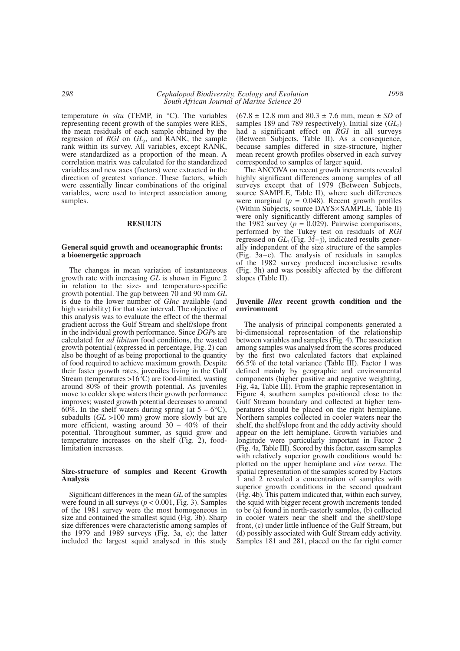temperature *in situ* (TEMP, in °C). The variables representing recent growth of the samples were RES, the mean residuals of each sample obtained by the regression of *RGI* on *GL*<sub>*I*</sub>, and RANK, the sample rank within its survey. All variables, except RANK, were standardized as a proportion of the mean. A correlation matrix was calculated for the standardized variables and new axes (factors) were extracted in the direction of greatest variance. These factors, which were essentially linear combinations of the original variables, were used to interpret association among samples.

### **RESULTS**

#### **General squid growth and oceanographic fronts: a bioenergetic approach**

The changes in mean variation of instantaneous growth rate with increasing *GL* is shown in Figure 2 in relation to the size- and temperature-specific growth potential. The gap between 70 and 90 mm *GL* is due to the lower number of *GInc* available (and high variability) for that size interval. The objective of this analysis was to evaluate the effect of the thermal gradient across the Gulf Stream and shelf/slope front in the individual growth performance. Since *DGP*s are calculated for *ad libitum* food conditions, the wasted growth potential (expressed in percentage, Fig. 2) can also be thought of as being proportional to the quantity of food required to achieve maximum growth. Despite their faster growth rates, juveniles living in the Gulf Stream (temperatures >16°C) are food-limited, wasting around 80% of their growth potential. As juveniles move to colder slope waters their growth performance improves; wasted growth potential decreases to around 60%. In the shelf waters during spring (at  $5 - 6^{\circ}C$ ), subadults (*GL* >100 mm) grow more slowly but are more efficient, wasting around  $30 - 40\%$  of their potential. Throughout summer, as squid grow and temperature increases on the shelf (Fig. 2), foodlimitation increases.

#### **Size-structure of samples and Recent Growth Analysis**

Significant differences in the mean *GL* of the samples were found in all surveys ( $p < 0.001$ , Fig. 3). Samples of the 1981 survey were the most homogeneous in size and contained the smallest squid (Fig. 3b). Sharp size differences were characteristic among samples of the 1979 and 1989 surveys (Fig. 3a, e); the latter included the largest squid analysed in this study (67.8 ± 12.8 mm and 80.3 ± 7.6 mm, mean ± *SD* of samples 189 and 789 respectively). Initial size (*GLi*) had a significant effect on *RGI* in all surveys (Between Subjects, Table II). As a consequence, because samples differed in size-structure, higher mean recent growth profiles observed in each survey corresponded to samples of larger squid.

The ANCOVA on recent growth increments revealed highly significant differences among samples of all surveys except that of 1979 (Between Subjects, source SAMPLE, Table II), where such differences were marginal  $(p = 0.048)$ . Recent growth profiles (Within Subjects, source DAYS×SAMPLE, Table II) were only significantly different among samples of the 1982 survey  $(p = 0.029)$ . Pairwise comparisons, performed by the Tukey test on residuals of *RGI* regressed on *GLi* (Fig. 3f–j), indicated results generally independent of the size structure of the samples (Fig. 3a–e). The analysis of residuals in samples of the 1982 survey produced inconclusive results (Fig. 3h) and was possibly affected by the different slopes (Table II).

#### **Juvenile** *Illex* **recent growth condition and the environment**

The analysis of principal components generated a bi-dimensional representation of the relationship between variables and samples (Fig. 4). The association among samples was analysed from the scores produced by the first two calculated factors that explained 66.5% of the total variance (Table III). Factor 1 was defined mainly by geographic and environmental components (higher positive and negative weighting, Fig. 4a, Table III). From the graphic representation in Figure 4, southern samples positioned close to the Gulf Stream boundary and collected at higher temperatures should be placed on the right hemiplane. Northern samples collected in cooler waters near the shelf, the shelf/slope front and the eddy activity should appear on the left hemiplane. Growth variables and longitude were particularly important in Factor 2 (Fig. 4a, Table III). Scored by this factor, eastern samples with relatively superior growth conditions would be plotted on the upper hemiplane and *vice versa*. The spatial representation of the samples scored by Factors 1 and 2 revealed a concentration of samples with superior growth conditions in the second quadrant (Fig. 4b). This pattern indicated that, within each survey, the squid with bigger recent growth increments tended to be (a) found in north-easterly samples, (b) collected in cooler waters near the shelf and the shelf/slope front, (c) under little influence of the Gulf Stream, but (d) possibly associated with Gulf Stream eddy activity. Samples 181 and 281, placed on the far right corner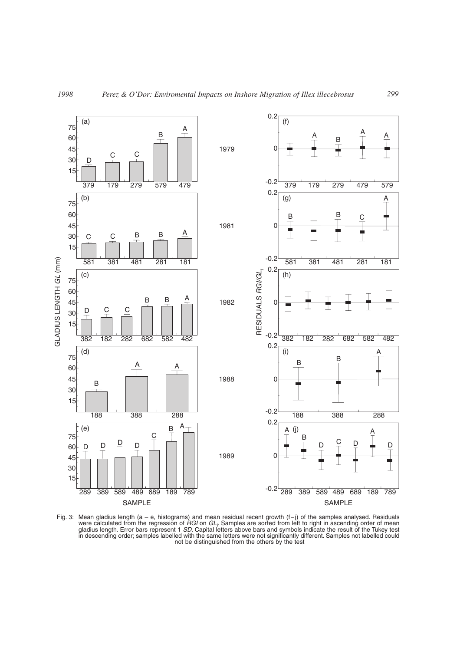

Fig. 3: Mean gladius length (a – e, histograms) and mean residual recent growth (f–j) of the samples analysed. Residuals were calculated from the regression of *RGI* on *GLi* . Samples are sorted from left to right in ascending order of mean gladius length. Error bars represent 1 *SD*. Capital letters above bars and symbols indicate the result of the Tukey test in descending order; samples labelled with the same letters were not significantly different. Samples not labelled could not be distinguished from the others by the test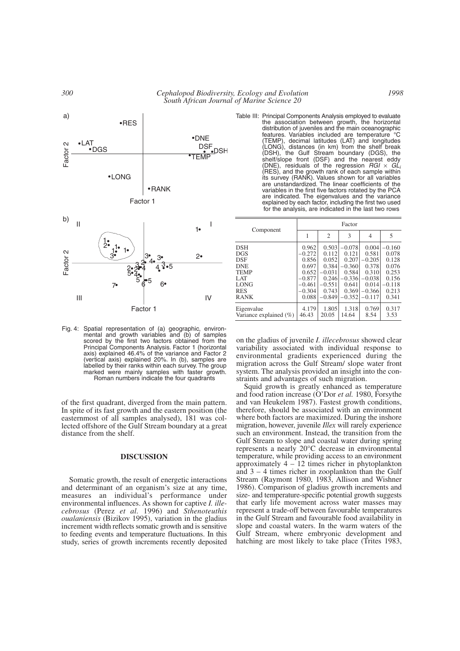

Fig. 4: Spatial representation of (a) geographic, environmental and growth variables and (b) of samples scored by the first two factors obtained from the Principal Components Analysis. Factor 1 (horizontal axis) explained 46.4% of the variance and Factor 2 (vertical axis) explained 20%. In (b), samples are labelled by their ranks within each survey. The group marked were mainly samples with faster growth. Roman numbers indicate the four quadrants

of the first quadrant, diverged from the main pattern. In spite of its fast growth and the eastern position (the easternmost of all samples analysed), 181 was collected offshore of the Gulf Stream boundary at a great distance from the shelf.

# **DISCUSSION**

Somatic growth, the result of energetic interactions and determinant of an organism's size at any time, measures an individual's performance under environmental influences. As shown for captive *I. illecebrosus* (Perez *et al.* 1996) and *Sthenoteuthis oualaniensis* (Bizikov 1995), variation in the gladius increment width reflects somatic growth and is sensitive to feeding events and temperature fluctuations. In this study, series of growth increments recently deposited Table III: Principal Components Analysis employed to evaluate the association between growth, the horizontal distribution of juveniles and the main oceanographic features. Variables included are temperature °C (TEMP), decimal latitudes (LAT) and longitudes (LONG), distances (in km) from the shelf break (DSH), the Gulf Stream boundary (DGS), the shelf/slope front (DSF) and the nearest eddy (DNE), residuals of the regression *RGI* × *GLi* (RES), and the growth rank of each sample within its survey (RANK). Values shown for all variables are unstandardized. The linear coefficients of the variables in the first five factors rotated by the PCA are indicated. The eigenvalues and the variance explained by each factor, including the first two used for the analysis, are indicated in the last two rows

|                        | Factor   |                |          |          |          |  |
|------------------------|----------|----------------|----------|----------|----------|--|
| Component              |          | $\overline{2}$ | 3        | 4        | 5        |  |
| DSH                    | 0.962    | 0.503          | $-0.078$ | 0.004    | $-0.160$ |  |
| DGS                    | $-0.272$ | 0.112          | 0.121    | 0.581    | 0.078    |  |
| DSF                    | 0.856    | 0.052          | 0.207    | $-0.205$ | 0.128    |  |
| DNE                    | 0.697    | 0.384          | $-0.360$ | 0.378    | 0.076    |  |
| TEMP                   | 0.652    | $-0.031$       | 0.584    | 0.310    | 0.253    |  |
| LAT                    | $-0.877$ | 0.246          | $-0.336$ | $-0.038$ | 0.156    |  |
| LONG                   | $-0.461$ | $-0.551$       | 0.641    | 0.014    | $-0.118$ |  |
| <b>RES</b>             | $-0.304$ | 0.743          | 0.369    | $-0.366$ | 0.213    |  |
| RANK                   | 0.088    | $-0.849$       | $-0.352$ | $-0.117$ | 0.341    |  |
| Eigenvalue             | 4.179    | 1.805          | 1.318    | 0.769    | 0.317    |  |
| Variance explained (%) | 46.43    | 20.05          | 14.64    | 8.54     | 3.53     |  |

on the gladius of juvenile *I. illecebrosus* showed clear variability associated with individual response to environmental gradients experienced during the migration across the Gulf Stream/ slope water front system. The analysis provided an insight into the constraints and advantages of such migration.

Squid growth is greatly enhanced as temperature and food ration increase (O'Dor *et al.* 1980, Forsythe and van Heukelem 1987). Fastest growth conditions, therefore, should be associated with an environment where both factors are maximized. During the inshore migration, however, juvenile *Illex* will rarely experience such an environment. Instead, the transition from the Gulf Stream to slope and coastal water during spring represents a nearly 20°C decrease in environmental temperature, while providing access to an environment approximately  $4 - 12$  times richer in phytoplankton and 3 – 4 times richer in zooplankton than the Gulf Stream (Raymont 1980, 1983, Allison and Wishner 1986). Comparison of gladius growth increments and size- and temperature-specific potential growth suggests that early life movement across water masses may represent a trade-off between favourable temperatures in the Gulf Stream and favourable food availability in slope and coastal waters. In the warm waters of the Gulf Stream, where embryonic development and hatching are most likely to take place (Trites 1983,

*1998*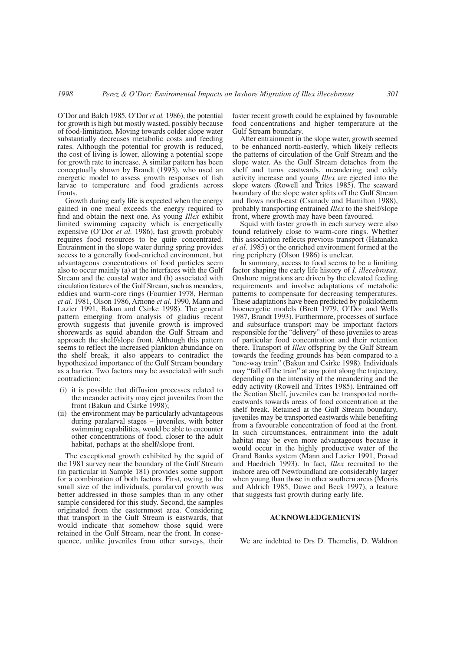O'Dor and Balch 1985, O'Dor *et al.* 1986), the potential for growth is high but mostly wasted, possibly because of food-limitation. Moving towards colder slope water substantially decreases metabolic costs and feeding rates. Although the potential for growth is reduced, the cost of living is lower, allowing a potential scope for growth rate to increase. A similar pattern has been conceptually shown by Brandt (1993), who used an energetic model to assess growth responses of fish larvae to temperature and food gradients across fronts.

Growth during early life is expected when the energy gained in one meal exceeds the energy required to find and obtain the next one. As young *Illex* exhibit limited swimming capacity which is energetically expensive (O'Dor *et al.* 1986), fast growth probably requires food resources to be quite concentrated. Entrainment in the slope water during spring provides access to a generally food-enriched environment, but advantageous concentrations of food particles seem also to occur mainly (a) at the interfaces with the Gulf Stream and the coastal water and (b) associated with circulation features of the Gulf Stream, such as meanders, eddies and warm-core rings (Fournier 1978, Herman *et al.* 1981, Olson 1986, Arnone *et al.* 1990, Mann and Lazier 1991, Bakun and Csirke 1998). The general pattern emerging from analysis of gladius recent growth suggests that juvenile growth is improved shorewards as squid abandon the Gulf Stream and approach the shelf/slope front. Although this pattern seems to reflect the increased plankton abundance on the shelf break, it also appears to contradict the hypothesized importance of the Gulf Stream boundary as a barrier. Two factors may be associated with such contradiction:

- i(i) it is possible that diffusion processes related to the meander activity may eject juveniles from the front (Bakun and Csirke 1998);
- (ii) the environment may be particularly advantageous during paralarval stages – juveniles, with better swimming capabilities, would be able to encounter other concentrations of food, closer to the adult habitat, perhaps at the shelf/slope front.

The exceptional growth exhibited by the squid of the 1981 survey near the boundary of the Gulf Stream (in particular in Sample 181) provides some support for a combination of both factors. First, owing to the small size of the individuals, paralarval growth was better addressed in those samples than in any other sample considered for this study. Second, the samples originated from the easternmost area. Considering that transport in the Gulf Stream is eastwards, that would indicate that somehow those squid were retained in the Gulf Stream, near the front. In consequence, unlike juveniles from other surveys, their faster recent growth could be explained by favourable food concentrations and higher temperature at the Gulf Stream boundary.

After entrainment in the slope water, growth seemed to be enhanced north-easterly, which likely reflects the patterns of circulation of the Gulf Stream and the slope water. As the Gulf Stream detaches from the shelf and turns eastwards, meandering and eddy activity increase and young *Illex* are ejected into the slope waters (Rowell and Trites 1985). The seaward boundary of the slope water splits off the Gulf Stream and flows north-east (Csanady and Hamilton 1988), probably transporting entrained *Illex* to the shelf/slope front, where growth may have been favoured.

Squid with faster growth in each survey were also found relatively close to warm-core rings. Whether this association reflects previous transport (Hatanaka *et al.* 1985) or the enriched environment formed at the ring periphery (Olson 1986) is unclear.

In summary, access to food seems to be a limiting factor shaping the early life history of *I. illecebrosus*. Onshore migrations are driven by the elevated feeding requirements and involve adaptations of metabolic patterns to compensate for decreasing temperatures. These adaptations have been predicted by poikilotherm bioenergetic models (Brett 1979, O'Dor and Wells 1987, Brandt 1993). Furthermore, processes of surface and subsurface transport may be important factors responsible for the "delivery" of these juveniles to areas of particular food concentration and their retention there. Transport of *Illex* offspring by the Gulf Stream towards the feeding grounds has been compared to a "one-way train" (Bakun and Csirke 1998). Individuals may "fall off the train" at any point along the trajectory, depending on the intensity of the meandering and the eddy activity (Rowell and Trites 1985). Entrained off the Scotian Shelf, juveniles can be transported northeastwards towards areas of food concentration at the shelf break. Retained at the Gulf Stream boundary, juveniles may be transported eastwards while benefiting from a favourable concentration of food at the front. In such circumstances, entrainment into the adult habitat may be even more advantageous because it would occur in the highly productive water of the Grand Banks system (Mann and Lazier 1991, Prasad and Haedrich 1993). In fact, *Illex* recruited to the inshore area off Newfoundland are considerably larger when young than those in other southern areas (Morris and Aldrich 1985, Dawe and Beck 1997), a feature that suggests fast growth during early life.

### **ACKNOWLEDGEMENTS**

We are indebted to Drs D. Themelis, D. Waldron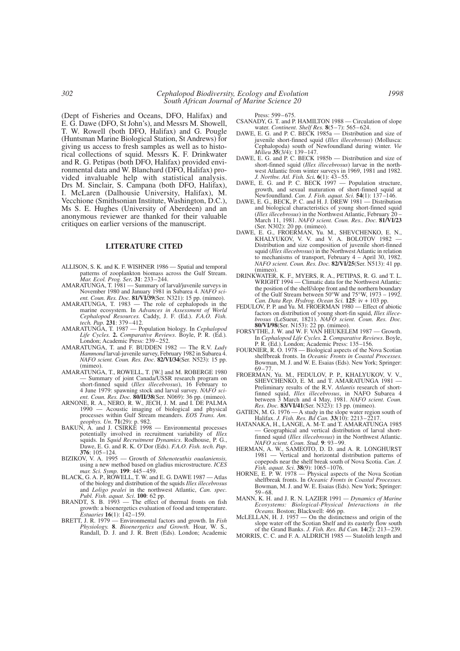(Dept of Fisheries and Oceans, DFO, Halifax) and E. G. Dawe (DFO, St John's), and Messrs M. Showell, T. W. Rowell (both DFO, Halifax) and G. Pougle (Huntsman Marine Biological Station, St Andrews) for giving us access to fresh samples as well as to historical collections of squid. Messrs K. F. Drinkwater and R. G. Petipas (both DFO, Halifax) provided environmental data and W. Blanchard (DFO, Halifax) provided invaluable help with statistical analysis. Drs M. Sinclair, S. Campana (both DFO, Halifax), I. McLaren (Dalhousie University, Halifax), M. Vecchione (Smithsonian Institute, Washington, D.C.), Ms S. E. Hughes (University of Aberdeen) and an anonymous reviewer are thanked for their valuable critiques on earlier versions of the manuscript.

# **LITERATURE CITED**

- ALLISON, S. K. and K. F. WISHNER 1986 Spatial and temporal patterns of zooplankton biomass across the Gulf Stream. *Mar. Ecol. Prog. Ser.* **31**: 233–244.
- AMARATUNGA, T. 1981 Summary of larval/juvenile surveys in November 1980 and January 1981 in Subarea 4. *NAFO scient. Coun. Res. Doc.* **81/VI/39**(Ser. N321): 15 pp. (mimeo).
- AMARATUNGA, T. 1983 The role of cephalopods in the marine ecosystem. In *Advances in Assessment of World Cephalopod Resources.* Caddy, J. F. (Ed.). *F.A.O. Fish. tech. Pap.* **231**: 379–412.
- AMARATUNGA, T. 1987 Population biology. In *Cephalopod Life Cycles.* **2.** *Comparative Reviews*. Boyle, P. R. (Ed.)*.* London; Academic Press: 239-252.
- AMARATUNGA, T. and F. BUDDEN 1982 The R.V. *Lady Hammond* larval-juvenile survey, February 1982 in Subarea 4. *NAFO scient. Coun. Res. Doc*. **82/VI/34**(Ser. N523): 15 pp. (mimeo).
- AMARATUNGA, T., ROWELL, T. [W.] and M. ROBERGE 1980 — Summary of joint Canada/USSR research program on short-finned squid (*Illex illecebrosus*), 16 February to 4 June 1979: spawning stock and larval survey. *NAFO scient. Coun. Res. Doc.* **80/II/38**(Ser. N069): 36 pp. (mimeo).
- ARNONE, R. A., NERO, R. W., JECH, J. M. and I. DE PALMA 1990 — Acoustic imaging of biological and physical processes within Gulf Stream meanders. *EOS Trans. Am. geophys. Un*. **71**(29): p. 982.
- BAKUN, A. and J. CSIRKE 1998 Environmental processes potentially involved in recruitment variability of *Illex* squids. In *Squid Recruitment Dynamics*. Rodhouse, P. G., Dawe, E. G. and R. K. O'Dor (Eds). *F.A.O. Fish. tech. Pap*. **376**: 105–124.
- BIZIKOV, V. A. 1995 Growth of *Sthenoteuthis oualaniensis,* using a new method based on gladius microstructure. *ICES mar. Sci. Symp.* **199**: 445–459.
- BLACK, G. A. P., ROWELL, T. W. and E. G. DAWE 1987 Atlas of the biology and distribution of the squids *Illex illecebrosus* and *Loligo pealei* in the northwest Atlantic, *Can. spec. Publ. Fish. aquat. Sci*. **100**: 62 pp.
- BRANDT, S. B. 1993 The effect of thermal fronts on fish growth: a bioenergetics evaluation of food and temperature. *Estuaries* **16**(1): 142–159.
- BRETT, J. R. 1979 Environmental factors and growth. In *Fish Physiology.* **8**. *Bioenergetics and Growth.* Hoar, W. S., Randall, D. J. and J. R. Brett (Eds). London; Academic

Press: 599–675.

- CSANADY, G. T. and P. HAMILTON 1988 Circulation of slope water. *Continent. Shelf Res.* **8**(5–7): 565–624.
- DAWE, E. G. and P. C. BECK 1985a Distribution and size of juvenile short-finned squid (*Illex illecebrosus*) (Mollusca: Cephalopoda) south of Newfoundland during winter. *Vie Milieu* **35**(3/4): 139–147.
- DAWE, E. G. and P. C. BECK 1985b Distribution and size of short-finned squid (*Illex illecebrosus*) larvae in the northwest Atlantic from winter surveys in 1969, 1981 and 1982. *J. Northw. Atl. Fish. Sci.* **6**(1): 43–55.
- DAWE, E. G. and P. C. BECK 1997 Population structure, growth, and sexual maturation of short-finned squid at Newfoundland. *Can. J. Fish. aquat. Sci.* **54**(1): 137–146.
- DAWE, E. G., BECK, P. C. and H. J. DREW 1981 Distribution and biological characteristics of young short-finned squid (*Illex illecebrosus*) in the Northwest Atlantic, February 20 – March 11, 1981. *NAFO scient. Coun. Res.. Doc.* **81/VI/23** (Ser. N302): 20 pp. (mimeo).
- DAWE, E. G., FROERMAN, Yu. M., SHEVCHENKO, E. N., KHALYUKOV, V. V. and V. A. BOLOTOV 1982 — Distribution and size composition of juvenile short-finned squid (*Illex illecebrosus*) in the Northwest Atlantic in relation to mechanisms of transport, February 4 – April 30, 1982. *NAFO scient. Coun. Res. Doc.* **82/VI/25**(Ser. N513): 41 pp. (mimeo).
- DRINKWATER, K. F., MYERS, R. A., PETIPAS, R. G. and T. L. WRIGHT 1994 — Climatic data for the Northwest Atlantic: the position of the shelf/slope front and the northern boundary of the Gulf Stream between 50°W and 75°W, 1973 – 1992. *Can. Data Rep. Hydrog. Ocean Sci.* **125**: iv + 103 pp.
- FEDULOV, P. P. and Yu. M. FROERMAN 1980 Effect of abiotic factors on distribution of young short-fin squid, *Illex illecebrosus* (LeSueur, 1821). *NAFO scient. Coun. Res. Doc.* **80/VI/98**(Ser. N153): 22 pp. (mimeo).
- FORSYTHE, J. W. and W. F. VAN HEUKELEM 1987 Growth. In *Cephalopod Life Cycles.* **2**. *Comparative Reviews*. Boyle, P. R. (Ed.). London; Academic Press: 135–156.
- FOURNIER, R. O. 1978 Biological aspects of the Nova Scotian shelfbreak fronts. In *Oceanic Fronts in Coastal Processes.* Bowman, M. J. and W. E. Esaias (Eds). New York; Springer: 69–77.
- FROERMAN, Yu. M., FEDULOV, P. P., KHALYUKOV, V. V., SHEVCHENKO, E. M. and T. AMARATUNGA 1981 — Preliminary results of the R.V*. Atlantis* research of shortfinned squid, *Illex illecebrosus*, in NAFO Subarea 4 between 3 March and 4 May, 1981. *NAFO scient. Coun. Res. Doc.* **83/VI/41**(Ser. N323): 13 pp. (mimeo).
- GATIEN, M. G. 1976 A study in the slope water region south of Halifax. *J. Fish. Res. Bd Can.* **33**(10): 2213–2217.
- HATANAKA, H., LANGE, A. M-T. and T. AMARATUNGA 1985 — Geographical and vertical distribution of larval shortfinned squid (*Illex illecebrosus*) in the Northwest Atlantic. *NAFO scient. Coun. Stud.* **9**: 93–99.
- HERMAN, A. W., SAMEOTO, D. D. and A. R. LONGHURST 1981 — Vertical and horizontal distribution patterns of copepods near the shelf break south of Nova Scotia. *Can. J. Fish. aquat. Sci.* **38**(9): 1065–1076.
- HORNE, E. P. W.  $1978 -$  Physical aspects of the Nova Scotian shelfbreak fronts. In *Oceanic Fronts in Coastal Processes.* Bowman, M. J. and W. E. Esaias (Eds). New York; Springer: 59–68.
- MANN, K. H. and J. R. N. LAZIER 1991  *Dynamics of Marine Ecosystems: Biological-Physical Interactions in the Oceans.* Boston; Blackwell: 466 pp.
- McLELLAN, H. J. 1957 On the distinctness and origin of the slope water off the Scotian Shelf and its easterly flow south of the Grand Banks. *J. Fish. Res. Bd Can.* **14**(2): 213–239.
- MORRIS, C. C. and F. A. ALDRICH 1985 Statolith length and